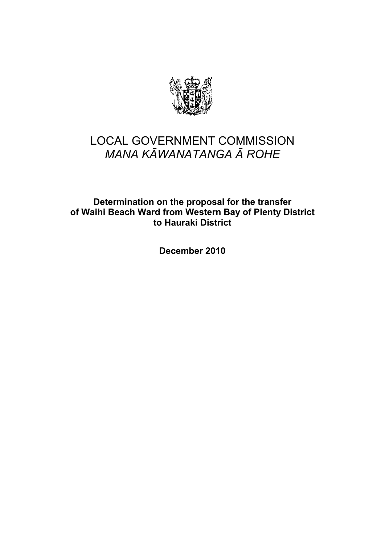

# LOCAL GOVERNMENT COMMISSION *MANA KĀWANATANGA Ā ROHE*

Determination on the proposal for the transfer of Waihi Beach Ward from Western Bay of Plenty District to Hauraki District

December 2010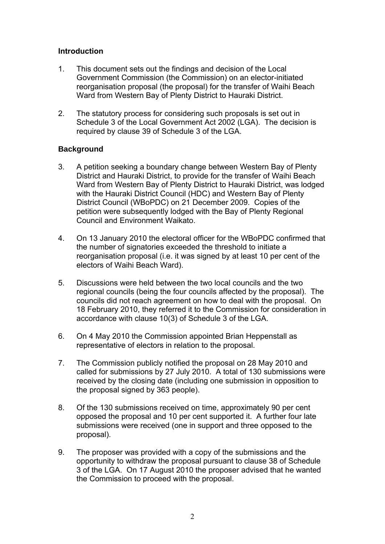## Introduction

- 1. This document sets out the findings and decision of the Local Government Commission (the Commission) on an elector-initiated reorganisation proposal (the proposal) for the transfer of Waihi Beach Ward from Western Bay of Plenty District to Hauraki District.
- 2. The statutory process for considering such proposals is set out in Schedule 3 of the Local Government Act 2002 (LGA). The decision is required by clause 39 of Schedule 3 of the LGA.

## **Background**

- 3. A petition seeking a boundary change between Western Bay of Plenty District and Hauraki District, to provide for the transfer of Waihi Beach Ward from Western Bay of Plenty District to Hauraki District, was lodged with the Hauraki District Council (HDC) and Western Bay of Plenty District Council (WBoPDC) on 21 December 2009. Copies of the petition were subsequently lodged with the Bay of Plenty Regional Council and Environment Waikato.
- 4. On 13 January 2010 the electoral officer for the WBoPDC confirmed that the number of signatories exceeded the threshold to initiate a reorganisation proposal (i.e. it was signed by at least 10 per cent of the electors of Waihi Beach Ward).
- 5. Discussions were held between the two local councils and the two regional councils (being the four councils affected by the proposal). The councils did not reach agreement on how to deal with the proposal. On 18 February 2010, they referred it to the Commission for consideration in accordance with clause 10(3) of Schedule 3 of the LGA.
- 6. On 4 May 2010 the Commission appointed Brian Heppenstall as representative of electors in relation to the proposal.
- 7. The Commission publicly notified the proposal on 28 May 2010 and called for submissions by 27 July 2010. A total of 130 submissions were received by the closing date (including one submission in opposition to the proposal signed by 363 people).
- 8. Of the 130 submissions received on time, approximately 90 per cent opposed the proposal and 10 per cent supported it. A further four late submissions were received (one in support and three opposed to the proposal).
- 9. The proposer was provided with a copy of the submissions and the opportunity to withdraw the proposal pursuant to clause 38 of Schedule 3 of the LGA. On 17 August 2010 the proposer advised that he wanted the Commission to proceed with the proposal.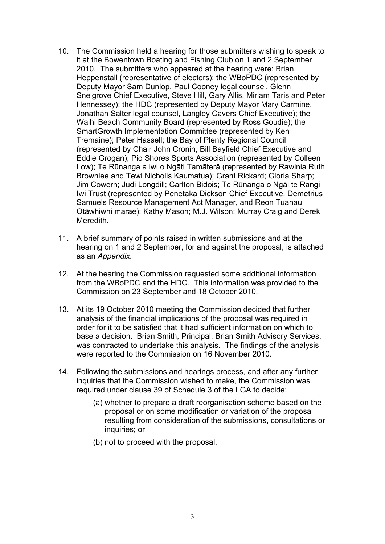- 10. The Commission held a hearing for those submitters wishing to speak to it at the Bowentown Boating and Fishing Club on 1 and 2 September 2010. The submitters who appeared at the hearing were: Brian Heppenstall (representative of electors); the WBoPDC (represented by Deputy Mayor Sam Dunlop, Paul Cooney legal counsel, Glenn Snelgrove Chief Executive, Steve Hill, Gary Allis, Miriam Taris and Peter Hennessey); the HDC (represented by Deputy Mayor Mary Carmine, Jonathan Salter legal counsel, Langley Cavers Chief Executive); the Waihi Beach Community Board (represented by Ross Goudie); the SmartGrowth Implementation Committee (represented by Ken Tremaine); Peter Hassell; the Bay of Plenty Regional Council (represented by Chair John Cronin, Bill Bayfield Chief Executive and Eddie Grogan); Pio Shores Sports Association (represented by Colleen Low); Te Rūnanga a iwi o Ngāti Tamāterā (represented by Rawinia Ruth Brownlee and Tewi Nicholls Kaumatua); Grant Rickard; Gloria Sharp; Jim Cowern; Judi Longdill; Carlton Bidois; Te Rūnanga o Ngāi te Rangi Iwi Trust (represented by Penetaka Dickson Chief Executive, Demetrius Samuels Resource Management Act Manager, and Reon Tuanau Otāwhiwhi marae); Kathy Mason; M.J. Wilson; Murray Craig and Derek Meredith.
- 11. A brief summary of points raised in written submissions and at the hearing on 1 and 2 September, for and against the proposal, is attached as an *Appendix.*
- 12. At the hearing the Commission requested some additional information from the WBoPDC and the HDC. This information was provided to the Commission on 23 September and 18 October 2010.
- 13. At its 19 October 2010 meeting the Commission decided that further analysis of the financial implications of the proposal was required in order for it to be satisfied that it had sufficient information on which to base a decision. Brian Smith, Principal, Brian Smith Advisory Services, was contracted to undertake this analysis. The findings of the analysis were reported to the Commission on 16 November 2010.
- 14. Following the submissions and hearings process, and after any further inquiries that the Commission wished to make, the Commission was required under clause 39 of Schedule 3 of the LGA to decide:
	- (a) whether to prepare a draft reorganisation scheme based on the proposal or on some modification or variation of the proposal resulting from consideration of the submissions, consultations or inquiries; or
	- (b) not to proceed with the proposal.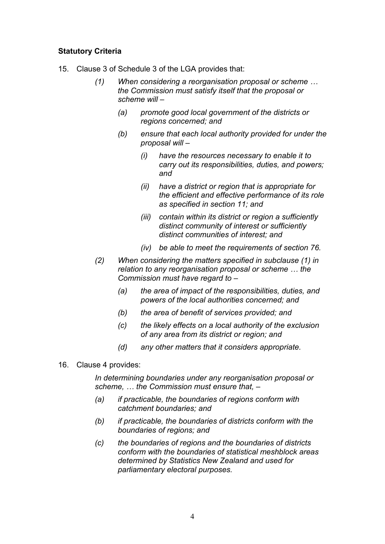## Statutory Criteria

- 15. Clause 3 of Schedule 3 of the LGA provides that:
	- *(1) When considering a reorganisation proposal or scheme … the Commission must satisfy itself that the proposal or scheme will –* 
		- *(a) promote good local government of the districts or regions concerned; and*
		- *(b) ensure that each local authority provided for under the proposal will –* 
			- *(i) have the resources necessary to enable it to carry out its responsibilities, duties, and powers; and*
			- *(ii) have a district or region that is appropriate for the efficient and effective performance of its role as specified in section 11; and*
			- *(iii) contain within its district or region a sufficiently distinct community of interest or sufficiently distinct communities of interest; and*
			- *(iv) be able to meet the requirements of section 76.*
	- *(2) When considering the matters specified in subclause (1) in relation to any reorganisation proposal or scheme … the Commission must have regard to –* 
		- *(a) the area of impact of the responsibilities, duties, and powers of the local authorities concerned; and*
		- *(b) the area of benefit of services provided; and*
		- *(c) the likely effects on a local authority of the exclusion of any area from its district or region; and*
		- *(d) any other matters that it considers appropriate.*
- 16. Clause 4 provides:

*In determining boundaries under any reorganisation proposal or scheme, … the Commission must ensure that, –* 

- *(a) if practicable, the boundaries of regions conform with catchment boundaries; and*
- *(b) if practicable, the boundaries of districts conform with the boundaries of regions; and*
- *(c) the boundaries of regions and the boundaries of districts conform with the boundaries of statistical meshblock areas determined by Statistics New Zealand and used for parliamentary electoral purposes.*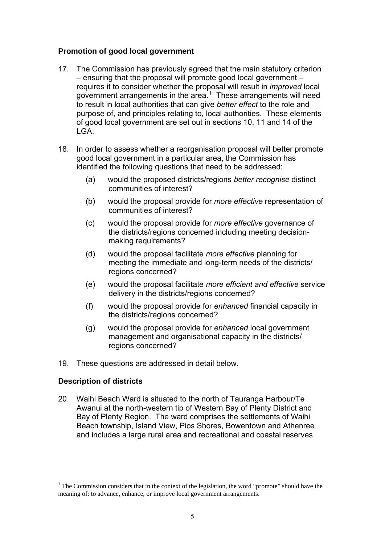## **Promotion of good local government**

- 17. The Commission has previously agreed that the main statutory criterion – ensuring that the proposal will promote good local government – requires it to consider whether the proposal will result in *improved* local government arrangements in the area. $1$  These arrangements will need to result in local authorities that can give *better effect* to the role and purpose of, and principles relating to, local authorities. These elements of good local government are set out in sections 10, 11 and 14 of the LGA.
- 18. In order to assess whether a reorganisation proposal will better promote good local government in a particular area, the Commission has identified the following questions that need to be addressed:
	- (a) would the proposed districts/regions *better recognise* distinct communities of interest?
	- (b) would the proposal provide for *more effective* representation of communities of interest?
	- (c) would the proposal provide for *more effective* governance of the districts/regions concerned including meeting decisionmaking requirements?
	- (d) would the proposal facilitate *more effective* planning for meeting the immediate and long-term needs of the districts/ regions concerned?
	- (e) would the proposal facilitate *more efficient and effective* service delivery in the districts/regions concerned?
	- (f) would the proposal provide for *enhanced* financial capacity in the districts/regions concerned?
	- (g) would the proposal provide for *enhanced* local government management and organisational capacity in the districts/ regions concerned?
- 19. These questions are addressed in detail below.

#### Description of districts

<u>.</u>

20. Waihi Beach Ward is situated to the north of Tauranga Harbour/Te Awanui at the north-western tip of Western Bay of Plenty District and Bay of Plenty Region. The ward comprises the settlements of Waihi Beach township, Island View, Pios Shores, Bowentown and Athenree and includes a large rural area and recreational and coastal reserves.

<span id="page-4-0"></span><sup>&</sup>lt;sup>1</sup> The Commission considers that in the context of the legislation, the word "promote" should have the meaning of: to advance, enhance, or improve local government arrangements.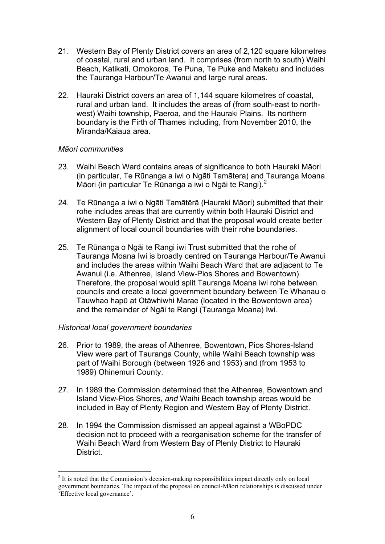- 21. Western Bay of Plenty District covers an area of 2,120 square kilometres of coastal, rural and urban land. It comprises (from north to south) Waihi Beach, Katikati, Omokoroa, Te Puna, Te Puke and Maketu and includes the Tauranga Harbour/Te Awanui and large rural areas.
- 22. Hauraki District covers an area of 1,144 square kilometres of coastal, rural and urban land. It includes the areas of (from south-east to northwest) Waihi township, Paeroa, and the Hauraki Plains. Its northern boundary is the Firth of Thames including, from November 2010, the Miranda/Kaiaua area.

#### *Māori communities*

- 23. Waihi Beach Ward contains areas of significance to both Hauraki Māori (in particular, Te Rūnanga a iwi o Ngāti Tamātera) and Tauranga Moana Māori (in particular Te Rūnanga a iwi o Ngāi te Rangi).<sup>[2](#page-5-0)</sup>
- 24. Te Rūnanga a iwi o Ngāti Tamātērā (Hauraki Māori) submitted that their rohe includes areas that are currently within both Hauraki District and Western Bay of Plenty District and that the proposal would create better alignment of local council boundaries with their rohe boundaries.
- 25. Te Rūnanga o Ngāi te Rangi iwi Trust submitted that the rohe of Tauranga Moana Iwi is broadly centred on Tauranga Harbour/Te Awanui and includes the areas within Waihi Beach Ward that are adjacent to Te Awanui (i.e. Athenree, Island View-Pios Shores and Bowentown). Therefore, the proposal would split Tauranga Moana iwi rohe between councils and create a local government boundary between Te Whanau o Tauwhao hapū at Otāwhiwhi Marae (located in the Bowentown area) and the remainder of Ngāi te Rangi (Tauranga Moana) Iwi.

#### *Historical local government boundaries*

1

- 26. Prior to 1989, the areas of Athenree, Bowentown, Pios Shores-Island View were part of Tauranga County, while Waihi Beach township was part of Waihi Borough (between 1926 and 1953) and (from 1953 to 1989) Ohinemuri County.
- 27. In 1989 the Commission determined that the Athenree, Bowentown and Island View-Pios Shores, *and* Waihi Beach township areas would be included in Bay of Plenty Region and Western Bay of Plenty District.
- 28. In 1994 the Commission dismissed an appeal against a WBoPDC decision not to proceed with a reorganisation scheme for the transfer of Waihi Beach Ward from Western Bay of Plenty District to Hauraki District.

<span id="page-5-0"></span> $2$  It is noted that the Commission's decision-making responsibilities impact directly only on local government boundaries. The impact of the proposal on council-Māori relationships is discussed under 'Effective local governance'.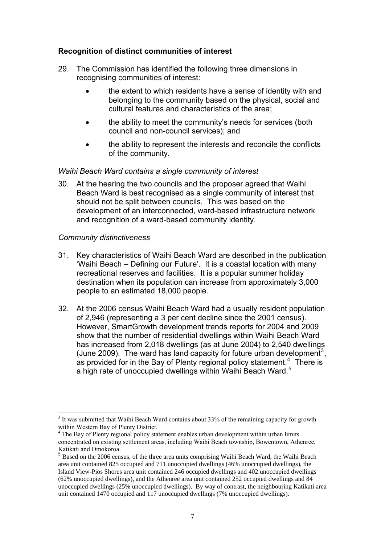## Recognition of distinct communities of interest

- 29. The Commission has identified the following three dimensions in recognising communities of interest:
	- the extent to which residents have a sense of identity with and belonging to the community based on the physical, social and cultural features and characteristics of the area;
	- the ability to meet the community's needs for services (both council and non-council services); and
	- the ability to represent the interests and reconcile the conflicts of the community.

#### *Waihi Beach Ward contains a single community of interest*

30. At the hearing the two councils and the proposer agreed that Waihi Beach Ward is best recognised as a single community of interest that should not be split between councils. This was based on the development of an interconnected, ward-based infrastructure network and recognition of a ward-based community identity.

#### *Community distinctiveness*

- 31. Key characteristics of Waihi Beach Ward are described in the publication 'Waihi Beach – Defining our Future'. It is a coastal location with many recreational reserves and facilities. It is a popular summer holiday destination when its population can increase from approximately 3,000 people to an estimated 18,000 people.
- 32. At the 2006 census Waihi Beach Ward had a usually resident population of 2,946 (representing a 3 per cent decline since the 2001 census). However, SmartGrowth development trends reports for 2004 and 2009 show that the number of residential dwellings within Waihi Beach Ward has increased from 2,018 dwellings (as at June 2004) to 2,540 dwellings (June 2009). The ward has land capacity for future urban development<sup>[3](#page-6-0)</sup>, as provided for in the Bay of Plenty regional policy statement.<sup>[4](#page-6-1)</sup> There is a high rate of unoccupied dwellings within Waihi Beach Ward.<sup>[5](#page-6-2)</sup>

<span id="page-6-0"></span><sup>&</sup>lt;u>.</u> <sup>3</sup> It was submitted that Waihi Beach Ward contains about 33% of the remaining capacity for growth within Western Bay of Plenty District.

<span id="page-6-1"></span><sup>&</sup>lt;sup>4</sup> The Bay of Plenty regional policy statement enables urban development within urban limits concentrated on existing settlement areas, including Waihi Beach township, Bowentown, Athenree, Katikati and Omokoroa.

<span id="page-6-2"></span><sup>5</sup> Based on the 2006 census, of the three area units comprising Waihi Beach Ward, the Waihi Beach area unit contained 825 occupied and 711 unoccupied dwellings (46% unoccupied dwellings), the Island View-Pios Shores area unit contained 246 occupied dwellings and 402 unoccupied dwellings (62% unoccupied dwellings), and the Athenree area unit contained 252 occupied dwellings and 84 unoccupied dwellings (25% unoccupied dwellings). By way of contrast, the neighbouring Katikati area unit contained 1470 occupied and 117 unoccupied dwellings (7% unoccupied dwellings).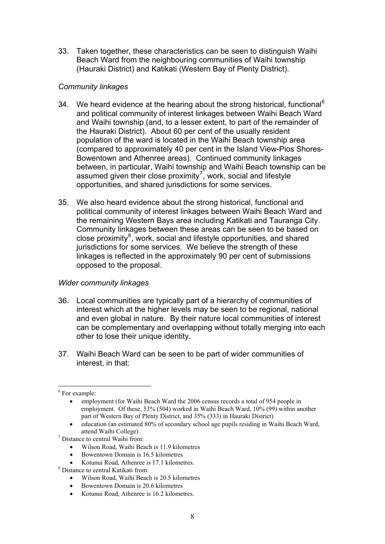33. Taken together, these characteristics can be seen to distinguish Waihi Beach Ward from the neighbouring communities of Waihi township (Hauraki District) and Katikati (Western Bay of Plenty District).

## *Community linkages*

- 34. We heard evidence at the hearing about the strong historical, functional<sup>[6](#page-7-0)</sup> and political community of interest linkages between Waihi Beach Ward and Waihi township (and, to a lesser extent, to part of the remainder of the Hauraki District). About 60 per cent of the usually resident population of the ward is located in the Waihi Beach township area (compared to approximately 40 per cent in the Island View-Pios Shores-Bowentown and Athenree areas). Continued community linkages between, in particular, Waihi township and Waihi Beach township can be assumed given their close proximity<sup>[7](#page-7-1)</sup>, work, social and lifestyle opportunities, and shared jurisdictions for some services.
- 35. We also heard evidence about the strong historical, functional and political community of interest linkages between Waihi Beach Ward and the remaining Western Bays area including Katikati and Tauranga City. Community linkages between these areas can be seen to be based on close proximity $^8$  $^8$ , work, social and lifestyle opportunities, and shared jurisdictions for some services. We believe the strength of these linkages is reflected in the approximately 90 per cent of submissions opposed to the proposal.

#### *Wider community linkages*

- 36. Local communities are typically part of a hierarchy of communities of interest which at the higher levels may be seen to be regional, national and even global in nature. By their nature local communities of interest can be complementary and overlapping without totally merging into each other to lose their unique identity.
- 37. Waihi Beach Ward can be seen to be part of wider communities of interest, in that:

- Wilson Road, Waihi Beach is 11.9 kilometres
- Bowentown Domain is 16.5 kilometres
- Kotunui Road, Athenree is 17.1 kilometres.
- <span id="page-7-2"></span> Distance to central Katikati from:
	- Wilson Road, Waihi Beach is 20.5 kilometres
	- Bowentown Domain is 20.6 kilometres
	- Kotunui Road, Athenree is 16.2 kilometres.

<span id="page-7-0"></span><sup>1</sup> <sup>6</sup> For example:

employment (for Waihi Beach Ward the 2006 census records a total of 954 people in employment. Of these, 53% (504) worked in Waihi Beach Ward, 10% (99) within another part of Western Bay of Plenty District, and 35% (333) in Hauraki District)

education (an estimated 80% of secondary school age pupils residing in Waihi Beach Ward,

<span id="page-7-1"></span>attend Waihi College) 7 Distance to central Waihi from: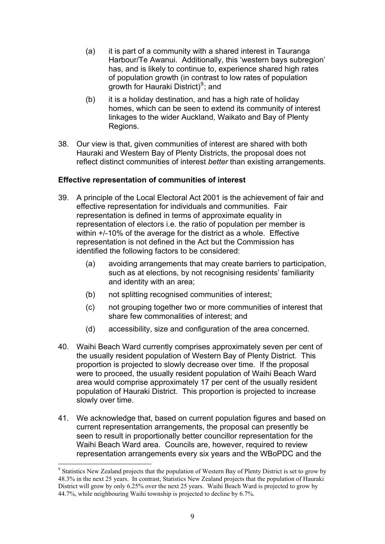- (a) it is part of a community with a shared interest in Tauranga Harbour/Te Awanui. Additionally, this 'western bays subregion' has, and is likely to continue to, experience shared high rates of population growth (in contrast to low rates of population growth for Hauraki District)<sup>[9](#page-8-0)</sup>; and
- (b) it is a holiday destination, and has a high rate of holiday homes, which can be seen to extend its community of interest linkages to the wider Auckland, Waikato and Bay of Plenty Regions.
- 38. Our view is that, given communities of interest are shared with both Hauraki and Western Bay of Plenty Districts, the proposal does not reflect distinct communities of interest *better* than existing arrangements.

## Effective representation of communities of interest

- 39. A principle of the Local Electoral Act 2001 is the achievement of fair and effective representation for individuals and communities. Fair representation is defined in terms of approximate equality in representation of electors i.e. the ratio of population per member is within +/-10% of the average for the district as a whole. Effective representation is not defined in the Act but the Commission has identified the following factors to be considered:
	- (a) avoiding arrangements that may create barriers to participation, such as at elections, by not recognising residents' familiarity and identity with an area;
	- (b) not splitting recognised communities of interest;
	- (c) not grouping together two or more communities of interest that share few commonalities of interest; and
	- (d) accessibility, size and configuration of the area concerned.
- 40. Waihi Beach Ward currently comprises approximately seven per cent of the usually resident population of Western Bay of Plenty District. This proportion is projected to slowly decrease over time. If the proposal were to proceed, the usually resident population of Waihi Beach Ward area would comprise approximately 17 per cent of the usually resident population of Hauraki District. This proportion is projected to increase slowly over time.
- 41. We acknowledge that, based on current population figures and based on current representation arrangements, the proposal can presently be seen to result in proportionally better councillor representation for the Waihi Beach Ward area. Councils are, however, required to review representation arrangements every six years and the WBoPDC and the

1

<span id="page-8-0"></span><sup>&</sup>lt;sup>9</sup> Statistics New Zealand projects that the population of Western Bay of Plenty District is set to grow by 48.3% in the next 25 years. In contrast, Statistics New Zealand projects that the population of Hauraki District will grow by only 6.25% over the next 25 years. Waihi Beach Ward is projected to grow by 44.7%, while neighbouring Waihi township is projected to decline by 6.7%.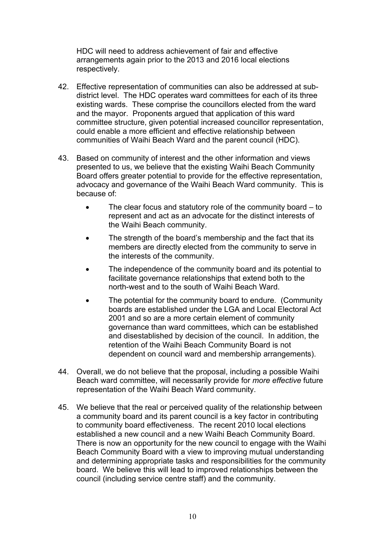HDC will need to address achievement of fair and effective arrangements again prior to the 2013 and 2016 local elections respectively.

- 42. Effective representation of communities can also be addressed at subdistrict level. The HDC operates ward committees for each of its three existing wards. These comprise the councillors elected from the ward and the mayor. Proponents argued that application of this ward committee structure, given potential increased councillor representation, could enable a more efficient and effective relationship between communities of Waihi Beach Ward and the parent council (HDC).
- 43. Based on community of interest and the other information and views presented to us, we believe that the existing Waihi Beach Community Board offers greater potential to provide for the effective representation, advocacy and governance of the Waihi Beach Ward community. This is because of:
	- The clear focus and statutory role of the community board to represent and act as an advocate for the distinct interests of the Waihi Beach community.
	- The strength of the board's membership and the fact that its members are directly elected from the community to serve in the interests of the community.
	- The independence of the community board and its potential to facilitate governance relationships that extend both to the north-west and to the south of Waihi Beach Ward.
	- The potential for the community board to endure. (Community boards are established under the LGA and Local Electoral Act 2001 and so are a more certain element of community governance than ward committees, which can be established and disestablished by decision of the council. In addition, the retention of the Waihi Beach Community Board is not dependent on council ward and membership arrangements).
- 44. Overall, we do not believe that the proposal, including a possible Waihi Beach ward committee, will necessarily provide for *more effective* future representation of the Waihi Beach Ward community.
- 45. We believe that the real or perceived quality of the relationship between a community board and its parent council is a key factor in contributing to community board effectiveness. The recent 2010 local elections established a new council and a new Waihi Beach Community Board. There is now an opportunity for the new council to engage with the Waihi Beach Community Board with a view to improving mutual understanding and determining appropriate tasks and responsibilities for the community board. We believe this will lead to improved relationships between the council (including service centre staff) and the community.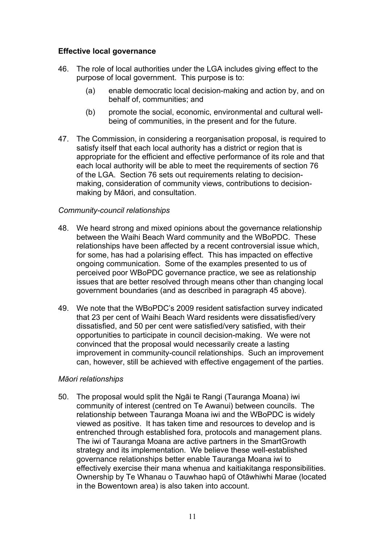## Effective local governance

- 46. The role of local authorities under the LGA includes giving effect to the purpose of local government. This purpose is to:
	- (a) enable democratic local decision-making and action by, and on behalf of, communities; and
	- (b) promote the social, economic, environmental and cultural wellbeing of communities, in the present and for the future.
- 47. The Commission, in considering a reorganisation proposal, is required to satisfy itself that each local authority has a district or region that is appropriate for the efficient and effective performance of its role and that each local authority will be able to meet the requirements of section 76 of the LGA. Section 76 sets out requirements relating to decisionmaking, consideration of community views, contributions to decisionmaking by Māori, and consultation.

#### *Community-council relationships*

- 48. We heard strong and mixed opinions about the governance relationship between the Waihi Beach Ward community and the WBoPDC. These relationships have been affected by a recent controversial issue which, for some, has had a polarising effect. This has impacted on effective ongoing communication. Some of the examples presented to us of perceived poor WBoPDC governance practice, we see as relationship issues that are better resolved through means other than changing local government boundaries (and as described in paragraph 45 above).
- 49. We note that the WBoPDC's 2009 resident satisfaction survey indicated that 23 per cent of Waihi Beach Ward residents were dissatisfied/very dissatisfied, and 50 per cent were satisfied/very satisfied, with their opportunities to participate in council decision-making. We were not convinced that the proposal would necessarily create a lasting improvement in community-council relationships. Such an improvement can, however, still be achieved with effective engagement of the parties.

#### *Māori relationships*

50. The proposal would split the Ngāi te Rangi (Tauranga Moana) iwi community of interest (centred on Te Awanui) between councils. The relationship between Tauranga Moana iwi and the WBoPDC is widely viewed as positive. It has taken time and resources to develop and is entrenched through established fora, protocols and management plans. The iwi of Tauranga Moana are active partners in the SmartGrowth strategy and its implementation. We believe these well-established governance relationships better enable Tauranga Moana iwi to effectively exercise their mana whenua and kaitiakitanga responsibilities. Ownership by Te Whanau o Tauwhao hapū of Otāwhiwhi Marae (located in the Bowentown area) is also taken into account.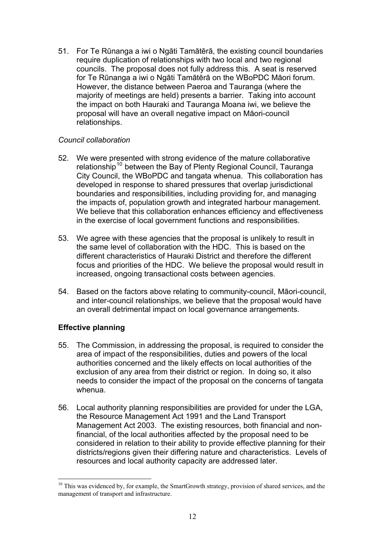51. For Te Rūnanga a iwi o Ngāti Tamātērā, the existing council boundaries require duplication of relationships with two local and two regional councils. The proposal does not fully address this. A seat is reserved for Te Rūnanga a iwi o Ngāti Tamātērā on the WBoPDC Māori forum. However, the distance between Paeroa and Tauranga (where the majority of meetings are held) presents a barrier. Taking into account the impact on both Hauraki and Tauranga Moana iwi, we believe the proposal will have an overall negative impact on Māori-council relationships.

## *Council collaboration*

- 52. We were presented with strong evidence of the mature collaborative relationship<sup>[10](#page-11-0)</sup> between the Bay of Plenty Regional Council, Tauranga City Council, the WBoPDC and tangata whenua. This collaboration has developed in response to shared pressures that overlap jurisdictional boundaries and responsibilities, including providing for, and managing the impacts of, population growth and integrated harbour management. We believe that this collaboration enhances efficiency and effectiveness in the exercise of local government functions and responsibilities.
- 53. We agree with these agencies that the proposal is unlikely to result in the same level of collaboration with the HDC. This is based on the different characteristics of Hauraki District and therefore the different focus and priorities of the HDC. We believe the proposal would result in increased, ongoing transactional costs between agencies.
- 54. Based on the factors above relating to community-council, Māori-council, and inter-council relationships, we believe that the proposal would have an overall detrimental impact on local governance arrangements.

## Effective planning

<u>.</u>

- 55. The Commission, in addressing the proposal, is required to consider the area of impact of the responsibilities, duties and powers of the local authorities concerned and the likely effects on local authorities of the exclusion of any area from their district or region. In doing so, it also needs to consider the impact of the proposal on the concerns of tangata whenua.
- 56. Local authority planning responsibilities are provided for under the LGA, the Resource Management Act 1991 and the Land Transport Management Act 2003. The existing resources, both financial and nonfinancial, of the local authorities affected by the proposal need to be considered in relation to their ability to provide effective planning for their districts/regions given their differing nature and characteristics. Levels of resources and local authority capacity are addressed later.

<span id="page-11-0"></span> $10$  This was evidenced by, for example, the SmartGrowth strategy, provision of shared services, and the management of transport and infrastructure.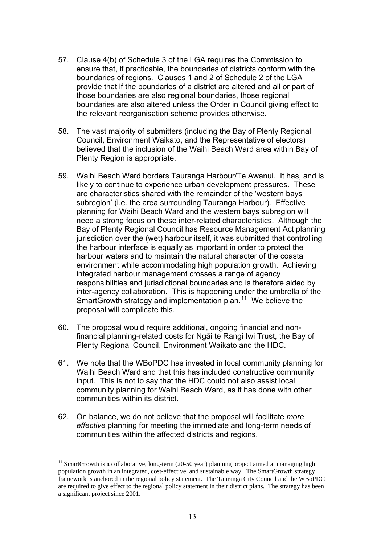- 57. Clause 4(b) of Schedule 3 of the LGA requires the Commission to ensure that, if practicable, the boundaries of districts conform with the boundaries of regions. Clauses 1 and 2 of Schedule 2 of the LGA provide that if the boundaries of a district are altered and all or part of those boundaries are also regional boundaries, those regional boundaries are also altered unless the Order in Council giving effect to the relevant reorganisation scheme provides otherwise.
- 58. The vast majority of submitters (including the Bay of Plenty Regional Council, Environment Waikato, and the Representative of electors) believed that the inclusion of the Waihi Beach Ward area within Bay of Plenty Region is appropriate.
- 59. Waihi Beach Ward borders Tauranga Harbour/Te Awanui. It has, and is likely to continue to experience urban development pressures. These are characteristics shared with the remainder of the 'western bays subregion' (i.e. the area surrounding Tauranga Harbour). Effective planning for Waihi Beach Ward and the western bays subregion will need a strong focus on these inter-related characteristics. Although the Bay of Plenty Regional Council has Resource Management Act planning jurisdiction over the (wet) harbour itself, it was submitted that controlling the harbour interface is equally as important in order to protect the harbour waters and to maintain the natural character of the coastal environment while accommodating high population growth. Achieving integrated harbour management crosses a range of agency responsibilities and jurisdictional boundaries and is therefore aided by inter-agency collaboration. This is happening under the umbrella of the SmartGrowth strategy and implementation plan.<sup>[11](#page-12-0)</sup> We believe the proposal will complicate this.
- 60. The proposal would require additional, ongoing financial and nonfinancial planning-related costs for Ngāi te Rangi Iwi Trust, the Bay of Plenty Regional Council, Environment Waikato and the HDC.
- 61. We note that the WBoPDC has invested in local community planning for Waihi Beach Ward and that this has included constructive community input. This is not to say that the HDC could not also assist local community planning for Waihi Beach Ward, as it has done with other communities within its district.
- 62. On balance, we do not believe that the proposal will facilitate *more effective* planning for meeting the immediate and long-term needs of communities within the affected districts and regions.

<u>.</u>

<span id="page-12-0"></span> $11$  SmartGrowth is a collaborative, long-term (20-50 year) planning project aimed at managing high population growth in an integrated, cost-effective, and sustainable way. The SmartGrowth strategy framework is anchored in the regional policy statement. The Tauranga City Council and the WBoPDC are required to give effect to the regional policy statement in their district plans. The strategy has been a significant project since 2001.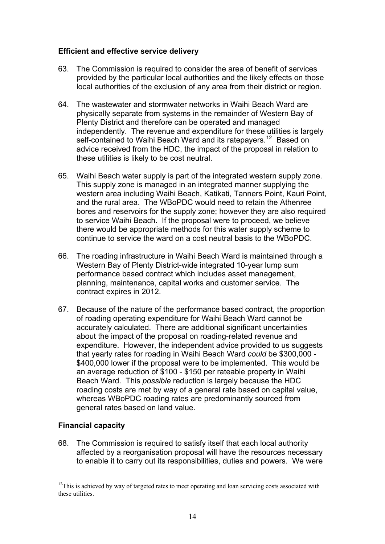## Efficient and effective service delivery

- 63. The Commission is required to consider the area of benefit of services provided by the particular local authorities and the likely effects on those local authorities of the exclusion of any area from their district or region.
- 64. The wastewater and stormwater networks in Waihi Beach Ward are physically separate from systems in the remainder of Western Bay of Plenty District and therefore can be operated and managed independently. The revenue and expenditure for these utilities is largely self-contained to Waihi Beach Ward and its ratepayers.<sup>[12](#page-13-0)</sup> Based on advice received from the HDC, the impact of the proposal in relation to these utilities is likely to be cost neutral.
- 65. Waihi Beach water supply is part of the integrated western supply zone. This supply zone is managed in an integrated manner supplying the western area including Waihi Beach, Katikati, Tanners Point, Kauri Point, and the rural area. The WBoPDC would need to retain the Athenree bores and reservoirs for the supply zone; however they are also required to service Waihi Beach. If the proposal were to proceed, we believe there would be appropriate methods for this water supply scheme to continue to service the ward on a cost neutral basis to the WBoPDC.
- 66. The roading infrastructure in Waihi Beach Ward is maintained through a Western Bay of Plenty District-wide integrated 10-year lump sum performance based contract which includes asset management, planning, maintenance, capital works and customer service. The contract expires in 2012.
- 67. Because of the nature of the performance based contract, the proportion of roading operating expenditure for Waihi Beach Ward cannot be accurately calculated. There are additional significant uncertainties about the impact of the proposal on roading-related revenue and expenditure. However, the independent advice provided to us suggests that yearly rates for roading in Waihi Beach Ward *could* be \$300,000 - \$400,000 lower if the proposal were to be implemented. This would be an average reduction of \$100 - \$150 per rateable property in Waihi Beach Ward. This *possible* reduction is largely because the HDC roading costs are met by way of a general rate based on capital value, whereas WBoPDC roading rates are predominantly sourced from general rates based on land value.

## Financial capacity

<u>.</u>

68. The Commission is required to satisfy itself that each local authority affected by a reorganisation proposal will have the resources necessary to enable it to carry out its responsibilities, duties and powers. We were

<span id="page-13-0"></span> $12$ This is achieved by way of targeted rates to meet operating and loan servicing costs associated with these utilities.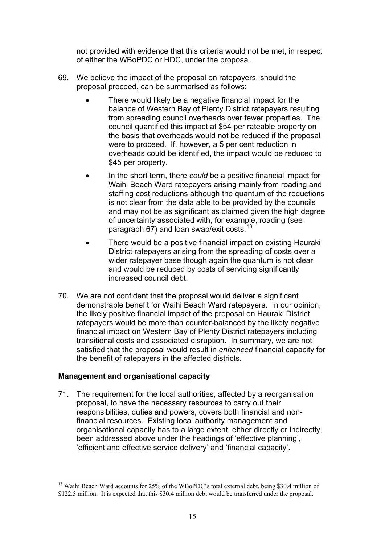not provided with evidence that this criteria would not be met, in respect of either the WBoPDC or HDC, under the proposal.

- 69. We believe the impact of the proposal on ratepayers, should the proposal proceed, can be summarised as follows:
	- There would likely be a negative financial impact for the balance of Western Bay of Plenty District ratepayers resulting from spreading council overheads over fewer properties. The council quantified this impact at \$54 per rateable property on the basis that overheads would not be reduced if the proposal were to proceed. If, however, a 5 per cent reduction in overheads could be identified, the impact would be reduced to \$45 per property.
	- In the short term, there *could* be a positive financial impact for Waihi Beach Ward ratepayers arising mainly from roading and staffing cost reductions although the quantum of the reductions is not clear from the data able to be provided by the councils and may not be as significant as claimed given the high degree of uncertainty associated with, for example, roading (see paragraph 67) and loan swap/exit costs.<sup>[13](#page-14-0)</sup>
	- There would be a positive financial impact on existing Hauraki District ratepayers arising from the spreading of costs over a wider ratepayer base though again the quantum is not clear and would be reduced by costs of servicing significantly increased council debt.
- 70. We are not confident that the proposal would deliver a significant demonstrable benefit for Waihi Beach Ward ratepayers. In our opinion, the likely positive financial impact of the proposal on Hauraki District ratepayers would be more than counter-balanced by the likely negative financial impact on Western Bay of Plenty District ratepayers including transitional costs and associated disruption. In summary, we are not satisfied that the proposal would result in *enhanced* financial capacity for the benefit of ratepayers in the affected districts.

#### Management and organisational capacity

71. The requirement for the local authorities, affected by a reorganisation proposal, to have the necessary resources to carry out their responsibilities, duties and powers, covers both financial and nonfinancial resources. Existing local authority management and organisational capacity has to a large extent, either directly or indirectly, been addressed above under the headings of 'effective planning', 'efficient and effective service delivery' and 'financial capacity'.

<span id="page-14-0"></span><sup>&</sup>lt;u>.</u> <sup>13</sup> Waihi Beach Ward accounts for 25% of the WBoPDC's total external debt, being \$30.4 million of \$122.5 million. It is expected that this \$30.4 million debt would be transferred under the proposal.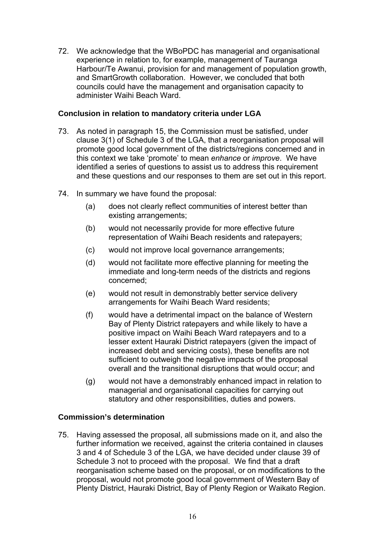72. We acknowledge that the WBoPDC has managerial and organisational experience in relation to, for example, management of Tauranga Harbour/Te Awanui, provision for and management of population growth, and SmartGrowth collaboration. However, we concluded that both councils could have the management and organisation capacity to administer Waihi Beach Ward.

## **Conclusion in relation to mandatory criteria under LGA**

- 73. As noted in paragraph 15, the Commission must be satisfied, under clause 3(1) of Schedule 3 of the LGA, that a reorganisation proposal will promote good local government of the districts/regions concerned and in this context we take 'promote' to mean *enhance* or *improve*. We have identified a series of questions to assist us to address this requirement and these questions and our responses to them are set out in this report.
- 74. In summary we have found the proposal:
	- (a) does not clearly reflect communities of interest better than existing arrangements;
	- (b) would not necessarily provide for more effective future representation of Waihi Beach residents and ratepayers;
	- (c) would not improve local governance arrangements;
	- (d) would not facilitate more effective planning for meeting the immediate and long-term needs of the districts and regions concerned;
	- (e) would not result in demonstrably better service delivery arrangements for Waihi Beach Ward residents;
	- (f) would have a detrimental impact on the balance of Western Bay of Plenty District ratepayers and while likely to have a positive impact on Waihi Beach Ward ratepayers and to a lesser extent Hauraki District ratepayers (given the impact of increased debt and servicing costs), these benefits are not sufficient to outweigh the negative impacts of the proposal overall and the transitional disruptions that would occur; and
	- (g) would not have a demonstrably enhanced impact in relation to managerial and organisational capacities for carrying out statutory and other responsibilities, duties and powers.

## **Commission's determination**

75. Having assessed the proposal, all submissions made on it, and also the further information we received, against the criteria contained in clauses 3 and 4 of Schedule 3 of the LGA, we have decided under clause 39 of Schedule 3 not to proceed with the proposal. We find that a draft reorganisation scheme based on the proposal, or on modifications to the proposal, would not promote good local government of Western Bay of Plenty District, Hauraki District, Bay of Plenty Region or Waikato Region.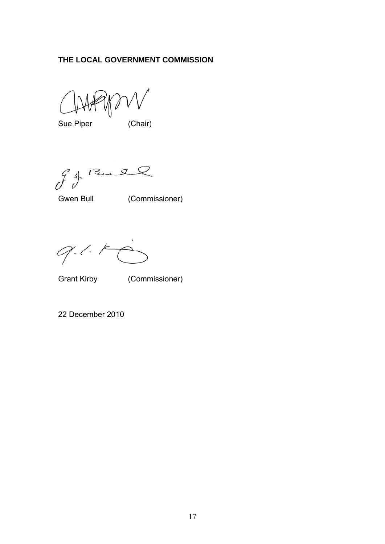## **THE LOCAL GOVERNMENT COMMISSION**

Sue Piper (Chair)

 $941222$ 

Gwen Bull (Commissioner)

 $9 - 16$ 

Grant Kirby (Commissioner)

22 December 2010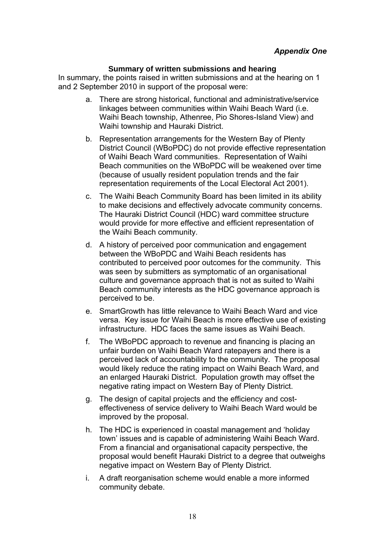#### **Summary of written submissions and hearing**

In summary, the points raised in written submissions and at the hearing on 1 and 2 September 2010 in support of the proposal were:

- a. There are strong historical, functional and administrative/service linkages between communities within Waihi Beach Ward (i.e. Waihi Beach township, Athenree, Pio Shores-Island View) and Waihi township and Hauraki District.
- b. Representation arrangements for the Western Bay of Plenty District Council (WBoPDC) do not provide effective representation of Waihi Beach Ward communities. Representation of Waihi Beach communities on the WBoPDC will be weakened over time (because of usually resident population trends and the fair representation requirements of the Local Electoral Act 2001).
- c. The Waihi Beach Community Board has been limited in its ability to make decisions and effectively advocate community concerns. The Hauraki District Council (HDC) ward committee structure would provide for more effective and efficient representation of the Waihi Beach community.
- d. A history of perceived poor communication and engagement between the WBoPDC and Waihi Beach residents has contributed to perceived poor outcomes for the community. This was seen by submitters as symptomatic of an organisational culture and governance approach that is not as suited to Waihi Beach community interests as the HDC governance approach is perceived to be.
- e. SmartGrowth has little relevance to Waihi Beach Ward and vice versa. Key issue for Waihi Beach is more effective use of existing infrastructure. HDC faces the same issues as Waihi Beach.
- f. The WBoPDC approach to revenue and financing is placing an unfair burden on Waihi Beach Ward ratepayers and there is a perceived lack of accountability to the community. The proposal would likely reduce the rating impact on Waihi Beach Ward, and an enlarged Hauraki District. Population growth may offset the negative rating impact on Western Bay of Plenty District.
- g. The design of capital projects and the efficiency and costeffectiveness of service delivery to Waihi Beach Ward would be improved by the proposal.
- h. The HDC is experienced in coastal management and 'holiday town' issues and is capable of administering Waihi Beach Ward. From a financial and organisational capacity perspective, the proposal would benefit Hauraki District to a degree that outweighs negative impact on Western Bay of Plenty District.
- i. A draft reorganisation scheme would enable a more informed community debate.